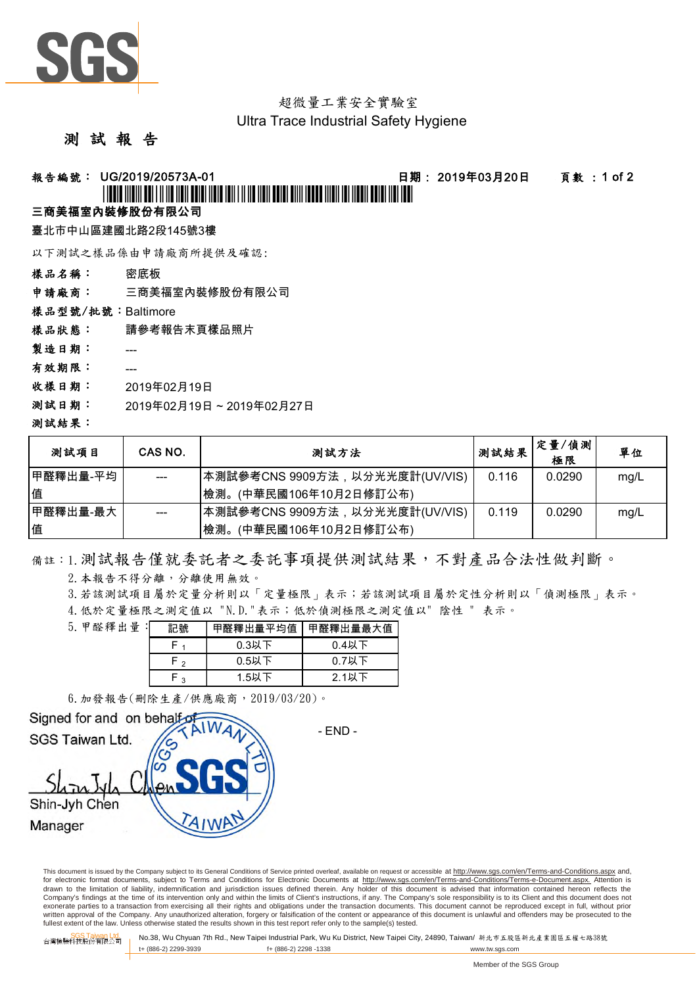

# 超微量工業安全實驗室

### Ultra Trace Industrial Safety Hygiene

## 測 試 報 告

## 報告編號: UG/2019/20573A-01 日期: 2019年03月20日 頁數 : 1 of 2

# \*UG/2019/20573A-01\*

## 三商美福室內裝修股份有限公司

臺北市中山區建國北路2段145號3樓

以下測試之樣品係由申請廠商所提供及確認:

樣品名稱: 密底板

申請廠商: 三商美福室內裝修股份有限公司

樣品型號/批號:Baltimore

樣品狀態: 請參考報告末頁樣品照片

製造日期: ---

- 有效期限: ---
- 收樣日期: 2019年02月19日
- 測試日期: 2019年02月19日 ~ 2019年02月27日

#### 測試結果:

| 测試項目     | CAS NO. | 測試方法                           | 測試結果  | 定量/偵測<br>極限 | 單位   |
|----------|---------|--------------------------------|-------|-------------|------|
| 甲醛釋出量-平均 | $---$   | 本測試參考CNS 9909方法,以分光光度計(UV/VIS) | 0.116 | 0.0290      | mg/L |
| 值        |         | (中華民國106年10月2日修訂公布)<br>檢測。     |       |             |      |
| 甲醛釋出量-最大 | ---     | 本測試參考CNS 9909方法,以分光光度計(UV/VIS) | 0.119 | 0.0290      | mg/L |
| 值        |         | 檢測。<br>(中華民國106年10月2日修訂公布)     |       |             |      |

備註:1.測試報告僅就委託者之委託事項提供測試結果,不對產品合法性做判斷。

2.本報告不得分離,分離使用無效。

3.若該測試項目屬於定量分析則以「定量極限」表示;若該測試項目屬於定性分析則以「偵測極限」表示。

4.低於定量極限之測定值以 "N.D."表示;低於偵測極限之測定值以" 陰性 " 表示。

| 5. 甲醛釋出量: | 記號     | 甲醛釋出量平均值 | 甲醛釋出量最大值 |  |
|-----------|--------|----------|----------|--|
|           |        | $0.3$ 以下 | $0.4$ 以下 |  |
|           | $\sim$ | $0.5$ 以下 | $0.7$ 以下 |  |
|           | ົ      | 1.5以下    | $2.1$ 以下 |  |

6.加發報告(刪除生產/供應廠商,2019/03/20)。



This document is issued by the Company subject to its General Conditions of Service printed overleaf, available on request or accessible at http://www.sgs.com/en/Terms-and-Conditions.aspx and, for electronic format documents, subject to Terms and Conditions for Electronic Documents at http://www.sgs.com/en/Terms-and-Conditions/Terms-e-Document.aspx. Attention is drawn to the limitation of liability, indemnification and jurisdiction issues defined therein. Any holder of this document is advised that information contained hereon reflects the Company's findings at the time of its intervention only and within the limits of Client's instructions, if any. The Company's sole responsibility is to its Client and this document does not exonerate parties to a transaction from exercising all their rights and obligations under the transaction documents. This document cannot be reproduced except in full, without prior written approval of the Company. Any unauthorized alteration, forgery or falsification of the content or appearance of this document is unlawful and offenders may be prosecuted to the<br>fullest extent of the law. Unless othe

台灣檢驗科技股<mark>公司 No.38, Wu Chyuan 7th Rd., New Taipei Industrial Park, Wu Ku District, New Taipei City, 24890, Taiwan/ 新北市五股區新北產業園區五權七路38號<br>台灣檢驗科技股份有限公司</mark> t+ (886-2) 2299-3939 f+ (886-2) 2298 -1338 www.tw.sgs.com